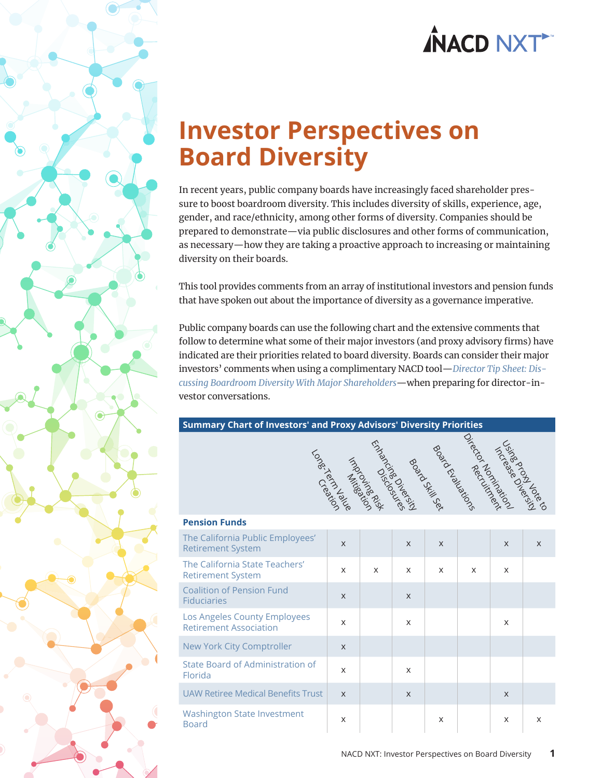### **Investor Perspectives on Board Diversity**

In recent years, public company boards have increasingly faced shareholder pressure to boost boardroom diversity. This includes diversity of skills, experience, age, gender, and race/ethnicity, among other forms of diversity. Companies should be prepared to demonstrate—via public disclosures and other forms of communication, as necessary—how they are taking a proactive approach to increasing or maintaining diversity on their boards.

This tool provides comments from an array of institutional investors and pension funds that have spoken out about the importance of diversity as a governance imperative.

Public company boards can use the following chart and the extensive comments that follow to determine what some of their major investors (and proxy advisory firms) have indicated are their priorities related to board diversity. Boards can consider their major investors' comments when using a complimentary NACD tool—*[Director Tip Sheet: Dis](https://www.nacdonline.org/diversitydiscussions)[cussing Boardroom Diversity With Major Shareholders](https://www.nacdonline.org/diversitydiscussions)*—when preparing for director-investor conversations.

#### **Summary Chart of Investors' and Proxy Advisors' Diversity Priorities**



| <b>Pension Funds</b>                                          |              |              |          |              |   |              |          |
|---------------------------------------------------------------|--------------|--------------|----------|--------------|---|--------------|----------|
| The California Public Employees'<br><b>Retirement System</b>  | $\mathsf{x}$ |              | $\times$ | $\times$     |   | $\times$     | $\times$ |
| The California State Teachers'<br><b>Retirement System</b>    | $\mathsf{x}$ | $\mathsf{x}$ | $\times$ | $\mathsf{x}$ | X | $\times$     |          |
| <b>Coalition of Pension Fund</b><br><b>Fiduciaries</b>        | $\times$     |              | $\times$ |              |   |              |          |
| Los Angeles County Employees<br><b>Retirement Association</b> | $\mathsf{x}$ |              | $\times$ |              |   | $\times$     |          |
| New York City Comptroller                                     | $\times$     |              |          |              |   |              |          |
| State Board of Administration of<br>Florida                   | $\mathsf{x}$ |              | $\times$ |              |   |              |          |
| UAW Retiree Medical Benefits Trust                            | $\times$     |              | $\times$ |              |   | $\mathsf{X}$ |          |
| <b>Washington State Investment</b><br><b>Board</b>            | X            |              |          | X            |   | $\times$     | X        |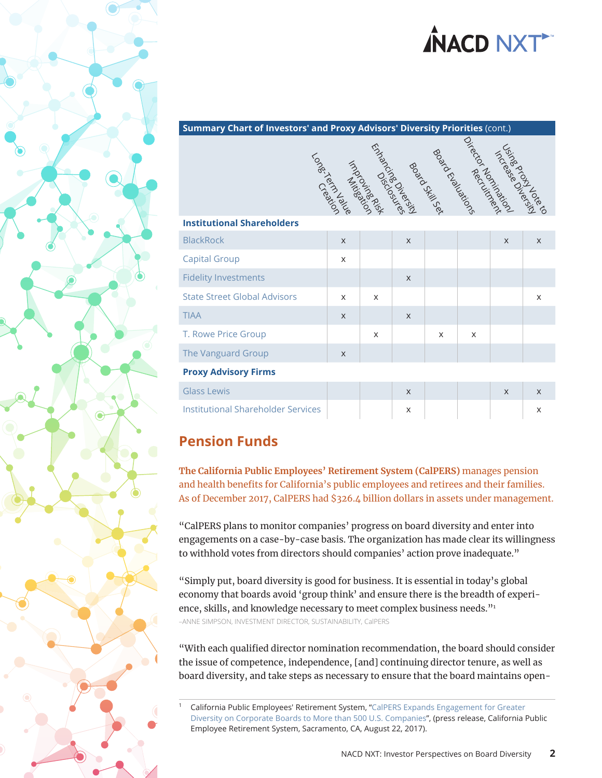#### <span id="page-1-0"></span>**Summary Chart of Investors' and Proxy Advisors' Diversity Priorities** (cont.)

|                                           | Longitalians | Ender Overland<br>Ender Overlands<br>Lind Science |              | Book Chairman<br>Roard Schill | Oirecto Recipiental | Licrosed Overside |   |
|-------------------------------------------|--------------|---------------------------------------------------|--------------|-------------------------------|---------------------|-------------------|---|
|                                           |              |                                                   |              |                               |                     |                   |   |
| <b>Institutional Shareholders</b>         |              |                                                   |              |                               |                     |                   |   |
| <b>BlackRock</b>                          | $\times$     |                                                   | $\times$     |                               |                     | X                 | X |
| <b>Capital Group</b>                      | X            |                                                   |              |                               |                     |                   |   |
| <b>Fidelity Investments</b>               |              |                                                   | X            |                               |                     |                   |   |
| <b>State Street Global Advisors</b>       | $\mathsf{x}$ | X                                                 |              |                               |                     |                   | X |
| <b>TIAA</b>                               | $\times$     |                                                   | $\times$     |                               |                     |                   |   |
| T. Rowe Price Group                       |              | $\times$                                          |              | X                             | X                   |                   |   |
| The Vanguard Group                        | $\times$     |                                                   |              |                               |                     |                   |   |
| <b>Proxy Advisory Firms</b>               |              |                                                   |              |                               |                     |                   |   |
| <b>Glass Lewis</b>                        |              |                                                   | $\mathsf{X}$ |                               |                     | X                 | X |
| <b>Institutional Shareholder Services</b> |              |                                                   | X            |                               |                     |                   | X |

### **Pension Funds**

**The California Public Employees' Retirement System (CalPERS)** manages pension and health benefits for California's public employees and retirees and their families. As of December 2017, CalPERS had \$326.4 billion dollars in assets under management.

"CalPERS plans to monitor companies' progress on board diversity and enter into engagements on a case-by-case basis. The organization has made clear its willingness to withhold votes from directors should companies' action prove inadequate."

"Simply put, board diversity is good for business. It is essential in today's global economy that boards avoid 'group think' and ensure there is the breadth of experience, skills, and knowledge necessary to meet complex business needs."<sup>1</sup> –ANNE SIMPSON, INVESTMENT DIRECTOR, SUSTAINABILITY, CalPERS

"With each qualified director nomination recommendation, the board should consider the issue of competence, independence, [and] continuing director tenure, as well as board diversity, and take steps as necessary to ensure that the board maintains open-

California Public Employees' Retirement System, "CalPERS Expands Engagement for Greater [Diversity on Corporate Boards to More than 500 U.S. Companies"](https://www.calpers.ca.gov/page/newsroom/calpers-news/2017/engagement-corporate-board-diversity), (press release, California Public Employee Retirement System, Sacramento, CA, August 22, 2017).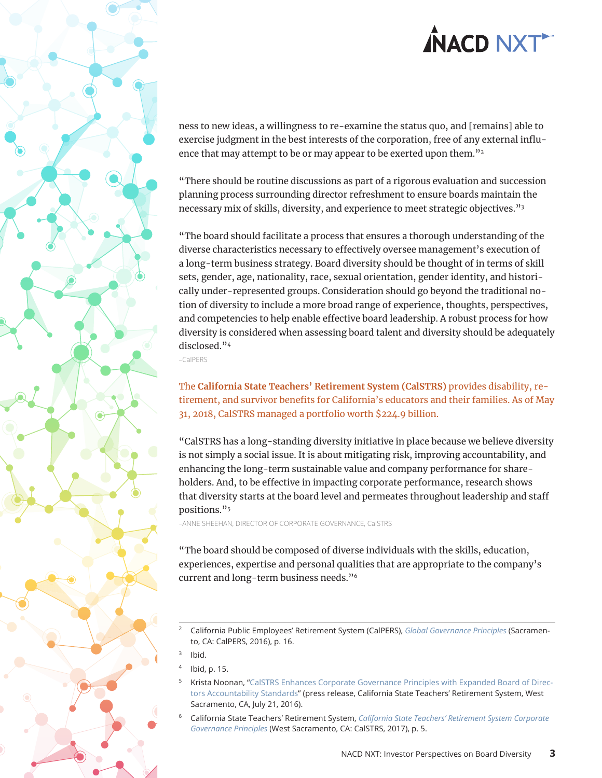<span id="page-2-0"></span>

ness to new ideas, a willingness to re-examine the status quo, and [remains] able to exercise judgment in the best interests of the corporation, free of any external influence that may attempt to be or may appear to be exerted upon them."<sup>2</sup>

"There should be routine discussions as part of a rigorous evaluation and succession planning process surrounding director refreshment to ensure boards maintain the necessary mix of skills, diversity, and experience to meet strategic objectives."3

"The board should facilitate a process that ensures a thorough understanding of the diverse characteristics necessary to effectively oversee management's execution of a long-term business strategy. Board diversity should be thought of in terms of skill sets, gender, age, nationality, race, sexual orientation, gender identity, and historically under-represented groups. Consideration should go beyond the traditional notion of diversity to include a more broad range of experience, thoughts, perspectives, and competencies to help enable effective board leadership. A robust process for how diversity is considered when assessing board talent and diversity should be adequately disclosed."4

–CalPERS

### The **California State Teachers' Retirement System (CalSTRS)** provides disability, retirement, and survivor benefits for California's educators and their families. As of May 31, 2018, CalSTRS managed a portfolio worth \$224.9 billion.

"CalSTRS has a long-standing diversity initiative in place because we believe diversity is not simply a social issue. It is about mitigating risk, improving accountability, and enhancing the long-term sustainable value and company performance for shareholders. And, to be effective in impacting corporate performance, research shows that diversity starts at the board level and permeates throughout leadership and staff positions."<sup>5</sup>

–ANNE SHEEHAN, DIRECTOR OF CORPORATE GOVERNANCE, CalSTRS

"The board should be composed of diverse individuals with the skills, education, experiences, expertise and personal qualities that are appropriate to the company's current and long-term business needs."6

<sup>2</sup> California Public Employees' Retirement System (CalPERS), *[Global Governance Principles](https://www.calpers.ca.gov/docs/board-agendas/201603/invest/item05a-02.pdf)* (Sacramento, CA: CalPERS, 2016), p. 16.

- <sup>4</sup> Ibid, p. 15.
- Krista Noonan, ["CalSTRS Enhances Corporate Governance Principles with Expanded Board of Direc](https://www.calstrs.com/news-release/calstrs-enhances-corporate-governance-principles-expanded-board-directors)[tors Accountability Standards](https://www.calstrs.com/news-release/calstrs-enhances-corporate-governance-principles-expanded-board-directors)" (press release, California State Teachers' Retirement System, West Sacramento, CA, July 21, 2016).
- <sup>6</sup> California State Teachers' Retirement System, *[California State Teachers' Retirement System Corporate](https://www.calstrs.com/sites/main/files/file-attachments/corporate_governance_principles_1.pdf)  [Governance Principles](https://www.calstrs.com/sites/main/files/file-attachments/corporate_governance_principles_1.pdf)* (West Sacramento, CA: CalSTRS, 2017), p. 5.

Ibid.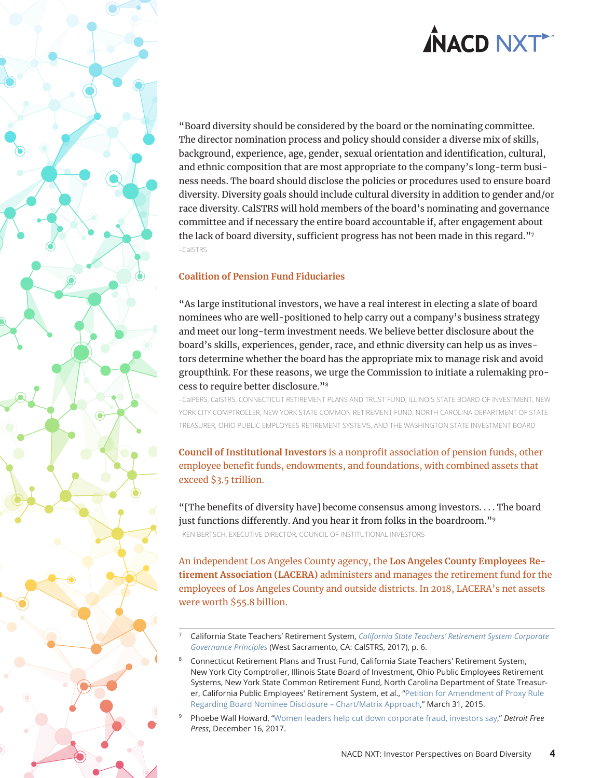<span id="page-3-0"></span>"Board diversity should be considered by the board or the nominating committee. The director nomination process and policy should consider a diverse mix of skills, background, experience, age, gender, sexual orientation and identification, cultural, and ethnic composition that are most appropriate to the company's long-term business needs. The board should disclose the policies or procedures used to ensure board diversity. Diversity goals should include cultural diversity in addition to gender and/or race diversity. CalSTRS will hold members of the board's nominating and governance committee and if necessary the entire board accountable if, after engagement about the lack of board diversity, sufficient progress has not been made in this regard."<sup>7</sup> –CalSTRS

### **Coalition of Pension Fund Fiduciaries**

"As large institutional investors, we have a real interest in electing a slate of board nominees who are well-positioned to help carry out a company's business strategy and meet our long-term investment needs. We believe better disclosure about the board's skills, experiences, gender, race, and ethnic diversity can help us as investors determine whether the board has the appropriate mix to manage risk and avoid groupthink. For these reasons, we urge the Commission to initiate a rulemaking process to require better disclosure."8

–CalPERS, CalSTRS, CONNECTICUT RETIREMENT PLANS AND TRUST FUND, ILLINOIS STATE BOARD OF INVESTMENT, NEW YORK CITY COMPTROLLER, NEW YORK STATE COMMON RETIREMENT FUND, NORTH CAROLINA DEPARTMENT OF STATE TREASURER, OHIO PUBLIC EMPLOYEES RETIREMENT SYSTEMS, AND THE WASHINGTON STATE INVESTMENT BOARD

**Council of Institutional Investors** is a nonprofit association of pension funds, other employee benefit funds, endowments, and foundations, with combined assets that exceed \$3.5 trillion.

"[The benefits of diversity have] become consensus among investors. . . . The board just functions differently. And you hear it from folks in the boardroom."<sup>9</sup> –KEN BERTSCH, EXECUTIVE DIRECTOR, COUNCIL OF INSTITUTIONAL INVESTORS

An independent Los Angeles County agency, the **Los Angeles County Employees Retirement Association (LACERA)** administers and manages the retirement fund for the employees of Los Angeles County and outside districts. In 2018, LACERA's net assets were worth \$55.8 billion.

- <sup>7</sup> California State Teachers' Retirement System, *[California State Teachers' Retirement System Corporate](https://www.calstrs.com/sites/main/files/file-attachments/corporate_governance_principles_1.pdf)  [Governance Principles](https://www.calstrs.com/sites/main/files/file-attachments/corporate_governance_principles_1.pdf)* (West Sacramento, CA: CalSTRS, 2017), p. 6.
- <sup>8</sup> Connecticut Retirement Plans and Trust Fund, California State Teachers' Retirement System, New York City Comptroller, Illinois State Board of Investment, Ohio Public Employees Retirement Systems, New York State Common Retirement Fund, North Carolina Department of State Treasurer, California Public Employees' Retirement System, et al., ["Petition for Amendment of Proxy Rule](https://www.sec.gov/rules/petitions/2015/petn4-682.pdf)  [Regarding Board Nominee Disclosure – Chart/Matrix Approach](https://www.sec.gov/rules/petitions/2015/petn4-682.pdf)," March 31, 2015.
- <sup>9</sup> Phoebe Wall Howard, "[Women leaders help cut down corporate fraud, investors say,](https://www.freep.com/story/money/cars/2017/12/15/women-corporate-boards-workplace/828962001/)" *Detroit Free Press*, December 16, 2017.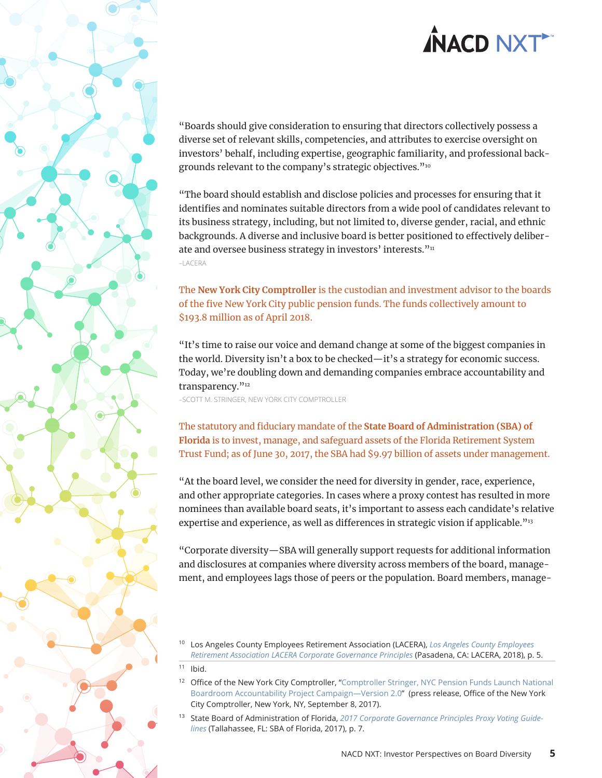<span id="page-4-0"></span>

"Boards should give consideration to ensuring that directors collectively possess a diverse set of relevant skills, competencies, and attributes to exercise oversight on investors' behalf, including expertise, geographic familiarity, and professional backgrounds relevant to the company's strategic objectives."10

"The board should establish and disclose policies and processes for ensuring that it identifies and nominates suitable directors from a wide pool of candidates relevant to its business strategy, including, but not limited to, diverse gender, racial, and ethnic backgrounds. A diverse and inclusive board is better positioned to effectively deliberate and oversee business strategy in investors' interests."<sup>11</sup> –LACERA

The **New York City Comptroller** is the custodian and investment advisor to the boards of the five New York City public pension funds. The funds collectively amount to \$193.8 million as of April 2018.

"It's time to raise our voice and demand change at some of the biggest companies in the world. Diversity isn't a box to be checked—it's a strategy for economic success. Today, we're doubling down and demanding companies embrace accountability and transparency."<sup>12</sup>

–SCOTT M. STRINGER, NEW YORK CITY COMPTROLLER

The statutory and fiduciary mandate of the **State Board of Administration (SBA) of Florida** is to invest, manage, and safeguard assets of the Florida Retirement System Trust Fund; as of June 30, 2017, the SBA had \$9.97 billion of assets under management.

"At the board level, we consider the need for diversity in gender, race, experience, and other appropriate categories. In cases where a proxy contest has resulted in more nominees than available board seats, it's important to assess each candidate's relative expertise and experience, as well as differences in strategic vision if applicable."<sup>13</sup>

"Corporate diversity—SBA will generally support requests for additional information and disclosures at companies where diversity across members of the board, management, and employees lags those of peers or the population. Board members, manage-

<sup>10</sup> Los Angeles County Employees Retirement Association (LACERA), *[Los Angeles County Employees](https://www.lacera.com/BoardResourcesWebSite/BoardOrientationPdf/policies/CorpGovPrinciples.pdf)  [Retirement Association LACERA Corporate Governance Principles](https://www.lacera.com/BoardResourcesWebSite/BoardOrientationPdf/policies/CorpGovPrinciples.pdf)* (Pasadena, CA: LACERA, 2018), p. 5.

- <sup>12</sup> Office of the New York City Comptroller, "Comptroller Stringer, NYC Pension Funds Launch National [Boardroom Accountability Project Campaign—Version 2.0](https://comptroller.nyc.gov/newsroom/press-releases/comptroller-stringer-nyc-pension-funds-launch-national-boardroom-accountability-project-campaign-version-2-0/)" (press release, Office of the New York City Comptroller, New York, NY, September 8, 2017).
- <sup>13</sup> State Board of Administration of Florida, *[2017 Corporate Governance Principles Proxy Voting Guide](https://www.sbafla.com/fsb/Portals/FSB/Content/CorporateGovernance/ProxyVoting/2017%20SBA%20Corporate%20Governance%20Voting%20Guidelines.pdf?ver=2017-05-25-120900-293)[lines](https://www.sbafla.com/fsb/Portals/FSB/Content/CorporateGovernance/ProxyVoting/2017%20SBA%20Corporate%20Governance%20Voting%20Guidelines.pdf?ver=2017-05-25-120900-293)* (Tallahassee, FL: SBA of Florida, 2017), p. 7.

 $11$  Ibid.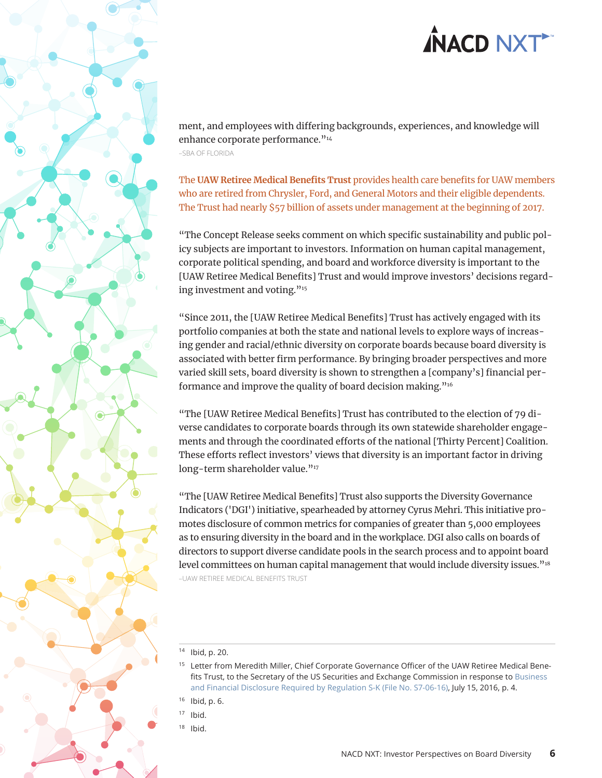<span id="page-5-0"></span>ment, and employees with differing backgrounds, experiences, and knowledge will enhance corporate performance."<sup>14</sup> –SBA OF FLORIDA

The **UAW Retiree Medical Benefits Trust** provides health care benefits for UAW members who are retired from Chrysler, Ford, and General Motors and their eligible dependents. The Trust had nearly \$57 billion of assets under management at the beginning of 2017.

"The Concept Release seeks comment on which specific sustainability and public policy subjects are important to investors. Information on human capital management, corporate political spending, and board and workforce diversity is important to the [UAW Retiree Medical Benefits] Trust and would improve investors' decisions regarding investment and voting."<sup>15</sup>

"Since 2011, the [UAW Retiree Medical Benefits] Trust has actively engaged with its portfolio companies at both the state and national levels to explore ways of increasing gender and racial/ethnic diversity on corporate boards because board diversity is associated with better firm performance. By bringing broader perspectives and more varied skill sets, board diversity is shown to strengthen a [company's] financial performance and improve the quality of board decision making."16

"The [UAW Retiree Medical Benefits] Trust has contributed to the election of 79 diverse candidates to corporate boards through its own statewide shareholder engagements and through the coordinated efforts of the national [Thirty Percent] Coalition. These efforts reflect investors' views that diversity is an important factor in driving long-term shareholder value."<sup>17</sup>

"The [UAW Retiree Medical Benefits] Trust also supports the Diversity Governance Indicators ('DGI') initiative, spearheaded by attorney Cyrus Mehri. This initiative promotes disclosure of common metrics for companies of greater than 5,000 employees as to ensuring diversity in the board and in the workplace. DGI also calls on boards of directors to support diverse candidate pools in the search process and to appoint board level committees on human capital management that would include diversity issues."<sup>18</sup> –UAW RETIREE MEDICAL BENEFITS TRUST

- <sup>14</sup> Ibid, p. 20.
- <sup>15</sup> Letter from Meredith Miller, Chief Corporate Governance Officer of the UAW Retiree Medical Benefits Trust, to the Secretary of the US Securities and Exchange Commission in response to [Business](https://www.sec.gov/comments/s7-06-16/s70616-130.pdf)  [and Financial Disclosure Required by Regulation S-K \(File No. S7-06-16\),](https://www.sec.gov/comments/s7-06-16/s70616-130.pdf) July 15, 2016, p. 4.
- <sup>16</sup> Ibid, p. 6.
- $17$  Ibid.
- Ibid.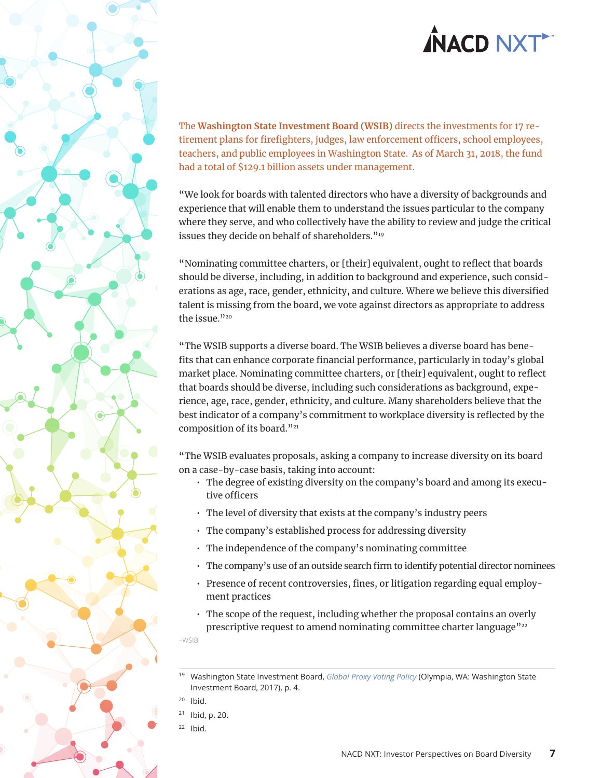<span id="page-6-0"></span>

The **Washington State Investment Board (WSIB)** directs the investments for 17 retirement plans for firefighters, judges, law enforcement officers, school employees, teachers, and public employees in Washington State. As of March 31, 2018, the fund had a total of \$129.1 billion assets under management.

"We look for boards with talented directors who have a diversity of backgrounds and experience that will enable them to understand the issues particular to the company where they serve, and who collectively have the ability to review and judge the critical issues they decide on behalf of shareholders."<sup>19</sup>

"Nominating committee charters, or [their] equivalent, ought to reflect that boards should be diverse, including, in addition to background and experience, such considerations as age, race, gender, ethnicity, and culture. Where we believe this diversified talent is missing from the board, we vote against directors as appropriate to address the issue."20

"The WSIB supports a diverse board. The WSIB believes a diverse board has benefits that can enhance corporate financial performance, particularly in today's global market place. Nominating committee charters, or [their] equivalent, ought to reflect that boards should be diverse, including such considerations as background, experience, age, race, gender, ethnicity, and culture. Many shareholders believe that the best indicator of a company's commitment to workplace diversity is reflected by the composition of its board."<sup>21</sup>

"The WSIB evaluates proposals, asking a company to increase diversity on its board on a case-by-case basis, taking into account:

- The degree of existing diversity on the company's board and among its executive officers
- The level of diversity that exists at the company's industry peers
- The company's established process for addressing diversity
- The independence of the company's nominating committee
- The company's use of an outside search firm to identify potential director nominees
- Presence of recent controversies, fines, or litigation regarding equal employment practices
- The scope of the request, including whether the proposal contains an overly prescriptive request to amend nominating committee charter language"<sup>22</sup>

–WSIB

- $21$  Ibid, p. 20.
- $22$  Ibid.

<sup>19</sup> Washington State Investment Board, *[Global Proxy Voting Policy](https://www.sib.wa.gov/information/pdfs/policies/2_05_200.pdf)* (Olympia, WA: Washington State Investment Board, 2017), p. 4.

 $20$  Ibid.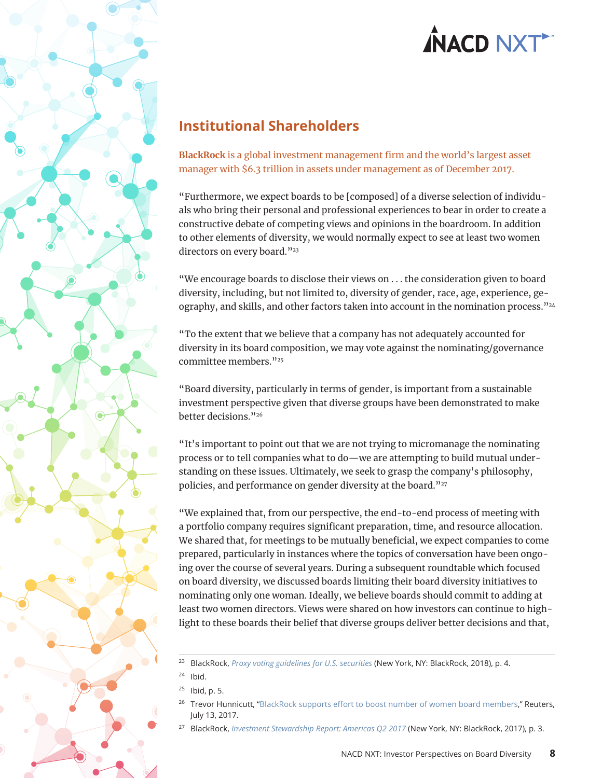<span id="page-7-0"></span>

### **Institutional Shareholders**

**BlackRock** is a global investment management firm and the world's largest asset manager with \$6.3 trillion in assets under management as of December 2017.

"Furthermore, we expect boards to be [composed] of a diverse selection of individuals who bring their personal and professional experiences to bear in order to create a constructive debate of competing views and opinions in the boardroom. In addition to other elements of diversity, we would normally expect to see at least two women directors on every board."<sup>23</sup>

"We encourage boards to disclose their views on . . . the consideration given to board diversity, including, but not limited to, diversity of gender, race, age, experience, geography, and skills, and other factors taken into account in the nomination process."<sup>24</sup>

"To the extent that we believe that a company has not adequately accounted for diversity in its board composition, we may vote against the nominating/governance committee members."25

"Board diversity, particularly in terms of gender, is important from a sustainable investment perspective given that diverse groups have been demonstrated to make better decisions."26

"It's important to point out that we are not trying to micromanage the nominating process or to tell companies what to do—we are attempting to build mutual understanding on these issues. Ultimately, we seek to grasp the company's philosophy, policies, and performance on gender diversity at the board."27

"We explained that, from our perspective, the end-to-end process of meeting with a portfolio company requires significant preparation, time, and resource allocation. We shared that, for meetings to be mutually beneficial, we expect companies to come prepared, particularly in instances where the topics of conversation have been ongoing over the course of several years. During a subsequent roundtable which focused on board diversity, we discussed boards limiting their board diversity initiatives to nominating only one woman. Ideally, we believe boards should commit to adding at least two women directors. Views were shared on how investors can continue to highlight to these boards their belief that diverse groups deliver better decisions and that,

<sup>23</sup> BlackRock, *[Proxy voting guidelines for U.S. securities](https://www.blackrock.com/corporate/literature/fact-sheet/blk-responsible-investment-guidelines-us.pdf)* (New York, NY: BlackRock, 2018), p. 4.

 $24$  Ibid.

 $25$  Ibid, p. 5.

<sup>&</sup>lt;sup>26</sup> Trevor Hunnicutt, "[BlackRock supports effort to boost number of women board members](https://uk.reuters.com/article/uk-blackrock-women-idUKKBN19Z09G)," Reuters, July 13, 2017.

<sup>27</sup> BlackRock, *[Investment Stewardship Report: Americas Q2 2017](https://www.blackrock.com/corporate/literature/publication/blk-qtrly-commentary-2017-q2-amers.pdf)* (New York, NY: BlackRock, 2017), p. 3.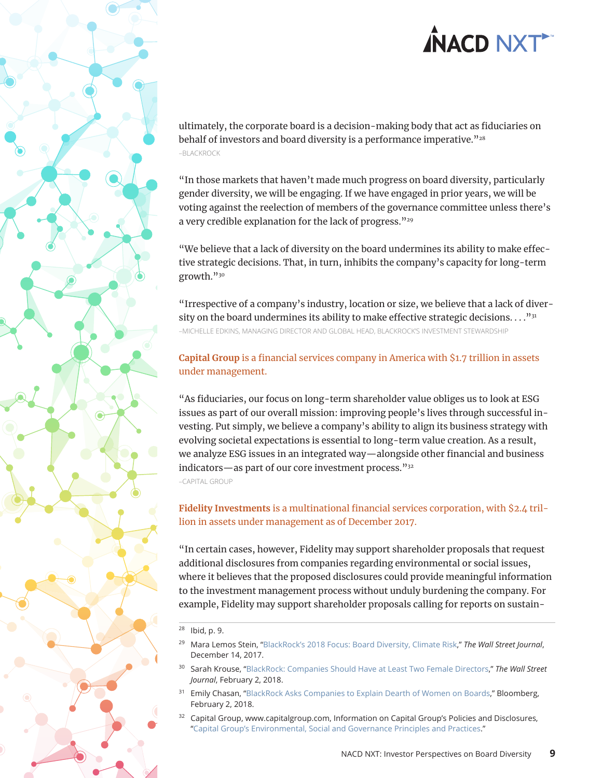<span id="page-8-0"></span>ultimately, the corporate board is a decision-making body that act as fiduciaries on behalf of investors and board diversity is a performance imperative."28 –BLACKROCK

"In those markets that haven't made much progress on board diversity, particularly gender diversity, we will be engaging. If we have engaged in prior years, we will be voting against the reelection of members of the governance committee unless there's a very credible explanation for the lack of progress."<sup>29</sup>

"We believe that a lack of diversity on the board undermines its ability to make effective strategic decisions. That, in turn, inhibits the company's capacity for long-term growth."30

"Irrespective of a company's industry, location or size, we believe that a lack of diversity on the board undermines its ability to make effective strategic decisions.  $\dots$ <sup>31</sup> –MICHELLE EDKINS, MANAGING DIRECTOR AND GLOBAL HEAD, BLACKROCK'S INVESTMENT STEWARDSHIP

### **Capital Group** is a financial services company in America with \$1.7 trillion in assets under management.

"As fiduciaries, our focus on long-term shareholder value obliges us to look at ESG issues as part of our overall mission: improving people's lives through successful investing. Put simply, we believe a company's ability to align its business strategy with evolving societal expectations is essential to long-term value creation. As a result, we analyze ESG issues in an integrated way—alongside other financial and business indicators—as part of our core investment process."32 –CAPITAL GROUP

**Fidelity Investments** is a multinational financial services corporation, with \$2.4 trillion in assets under management as of December 2017.

"In certain cases, however, Fidelity may support shareholder proposals that request additional disclosures from companies regarding environmental or social issues, where it believes that the proposed disclosures could provide meaningful information to the investment management process without unduly burdening the company. For example, Fidelity may support shareholder proposals calling for reports on sustain-

- <sup>31</sup> Emily Chasan, ["BlackRock Asks Companies to Explain Dearth of Women on Boards,](https://www.bloomberg.com/news/articles/2018-02-02/blackrock-asks-companies-to-explain-dearth-of-women-on-boards)" Bloomberg, February 2, 2018.
- $32$  Capital Group, www.capitalgroup.com, Information on Capital Group's Policies and Disclosures, "[Capital Group's Environmental, Social and Governance Principles and Practices.](https://www.capitalgroup.com/us/policies-and-disclosures.html#)"

<sup>28</sup> Ibid, p. 9.

<sup>29</sup> Mara Lemos Stein, "[BlackRock's 2018 Focus: Board Diversity, Climate Risk,](https://blogs.wsj.com/riskandcompliance/2017/12/14/blackrocks-2018-focus-board-diversity-climate-risk/)" *The Wall Street Journal*, December 14, 2017.

<sup>30</sup> Sarah Krouse, "[BlackRock: Companies Should Have at Least Two Female Directors](https://www.wsj.com/articles/blackrock-companies-should-have-at-least-two-female-directors-1517598407)," *The Wall Street Journal*, February 2, 2018.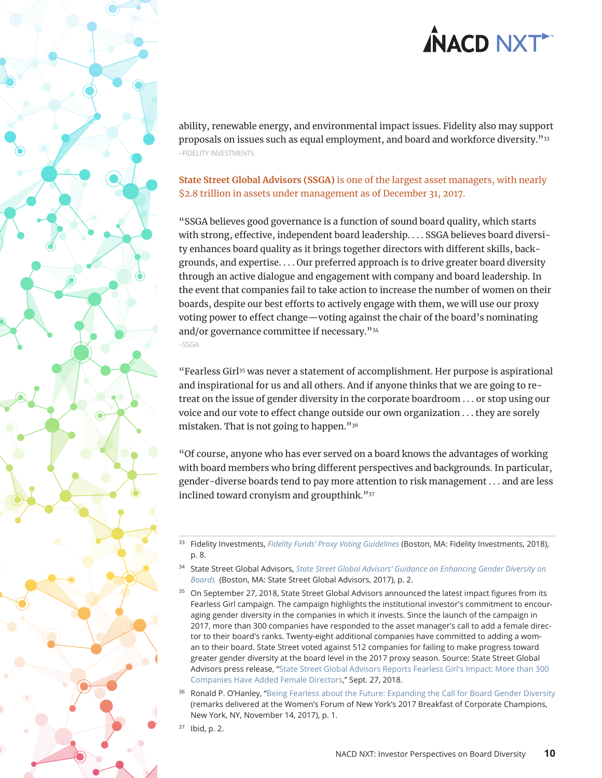<span id="page-9-0"></span>ability, renewable energy, and environmental impact issues. Fidelity also may support proposals on issues such as equal employment, and board and workforce diversity."33 –FIDELITY INVESTMENTS

### **State Street Global Advisors (SSGA)** is one of the largest asset managers, with nearly \$2.8 trillion in assets under management as of December 31, 2017.

"SSGA believes good governance is a function of sound board quality, which starts with strong, effective, independent board leadership. . . . SSGA believes board diversity enhances board quality as it brings together directors with different skills, backgrounds, and expertise. . . . Our preferred approach is to drive greater board diversity through an active dialogue and engagement with company and board leadership. In the event that companies fail to take action to increase the number of women on their boards, despite our best efforts to actively engage with them, we will use our proxy voting power to effect change—voting against the chair of the board's nominating and/or governance committee if necessary."34 –SSGA

"Fearless Girl35 was never a statement of accomplishment. Her purpose is aspirational and inspirational for us and all others. And if anyone thinks that we are going to retreat on the issue of gender diversity in the corporate boardroom . . . or stop using our voice and our vote to effect change outside our own organization . . . they are sorely mistaken. That is not going to happen."36

"Of course, anyone who has ever served on a board knows the advantages of working with board members who bring different perspectives and backgrounds. In particular, gender-diverse boards tend to pay more attention to risk management . . . and are less inclined toward cronyism and groupthink."37

- <sup>34</sup> State Street Global Advisors, *[State Street Global Advisors' Guidance on Enhancing Gender Diversity on](https://www.ssga.com/investment-topics/environmental-social-governance/2017/guidance-on-enhancing-gender-diversity-on-boards.pdf)  [Boards](https://www.ssga.com/investment-topics/environmental-social-governance/2017/guidance-on-enhancing-gender-diversity-on-boards.pdf)* (Boston, MA: State Street Global Advisors, 2017), p. 2.
- <sup>35</sup> On September 27, 2018, State Street Global Advisors announced the latest impact figures from its Fearless Girl campaign. The campaign highlights the institutional investor's commitment to encouraging gender diversity in the companies in which it invests. Since the launch of the campaign in 2017, more than 300 companies have responded to the asset manager's call to add a female director to their board's ranks. Twenty-eight additional companies have committed to adding a woman to their board. State Street voted against 512 companies for failing to make progress toward greater gender diversity at the board level in the 2017 proxy season. Source: State Street Global Advisors press release, ["State Street Global Advisors Reports Fearless Girl's Impact: More than 300](https://www.businesswire.com/news/home/20180927005518/en/State-Street-Global-Advisors-Reports-Fearless-Girl%E2%80%99s)  [Companies Have Added Female Directors,](https://www.businesswire.com/news/home/20180927005518/en/State-Street-Global-Advisors-Reports-Fearless-Girl%E2%80%99s)" Sept. 27, 2018.
- Ronald P. O'Hanley, ["Being Fearless about the Future: Expanding the Call for Board Gender Diversity](https://www.ssga.com/publications/firm/2017/expanding-the-call-for-board-gender-diversity.pdf) (remarks delivered at the Women's Forum of New York's 2017 Breakfast of Corporate Champions, New York, NY, November 14, 2017), p. 1.

 $37$  Ibid, p. 2.

<sup>33</sup> Fidelity Investments, *[Fidelity Funds' Proxy Voting Guidelines](https://www.fidelity.com/bin-public/060_www_fidelity_com/documents/Full-Proxy-Voting-Guidelines-for-Fidelity-Funds-Advised-by-FMRCo-and-SelectCo.pdf)* (Boston, MA: Fidelity Investments, 2018), p. 8.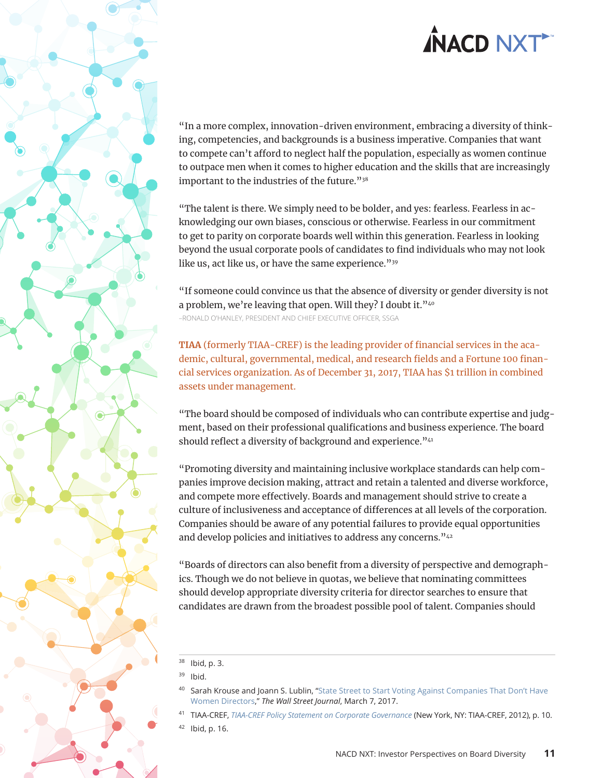<span id="page-10-0"></span>

"In a more complex, innovation-driven environment, embracing a diversity of thinking, competencies, and backgrounds is a business imperative. Companies that want to compete can't afford to neglect half the population, especially as women continue to outpace men when it comes to higher education and the skills that are increasingly important to the industries of the future."38

"The talent is there. We simply need to be bolder, and yes: fearless. Fearless in acknowledging our own biases, conscious or otherwise. Fearless in our commitment to get to parity on corporate boards well within this generation. Fearless in looking beyond the usual corporate pools of candidates to find individuals who may not look like us, act like us, or have the same experience."<sup>39</sup>

"If someone could convince us that the absence of diversity or gender diversity is not a problem, we're leaving that open. Will they? I doubt it."40 –RONALD O'HANLEY, PRESIDENT AND CHIEF EXECUTIVE OFFICER, SSGA

**TIAA** (formerly TIAA-CREF) is the leading provider of financial services in the academic, cultural, governmental, medical, and research fields and a Fortune 100 financial services organization. As of December 31, 2017, TIAA has \$1 trillion in combined assets under management.

"The board should be composed of individuals who can contribute expertise and judgment, based on their professional qualifications and business experience. The board should reflect a diversity of background and experience."<sup>41</sup>

"Promoting diversity and maintaining inclusive workplace standards can help companies improve decision making, attract and retain a talented and diverse workforce, and compete more effectively. Boards and management should strive to create a culture of inclusiveness and acceptance of differences at all levels of the corporation. Companies should be aware of any potential failures to provide equal opportunities and develop policies and initiatives to address any concerns."<sup>42</sup>

"Boards of directors can also benefit from a diversity of perspective and demographics. Though we do not believe in quotas, we believe that nominating committees should develop appropriate diversity criteria for director searches to ensure that candidates are drawn from the broadest possible pool of talent. Companies should

- <sup>40</sup> Sarah Krouse and Joann S. Lublin, "State Street to Start Voting Against Companies That Don't Have [Women Directors](https://www.wsj.com/articles/state-street-says-it-will-start-voting-against-companies-that-dont-have-women-directors-1488862863)," *The Wall Street Journal*, March 7, 2017.
- <sup>41</sup> TIAA-CREF, *[TIAA-CREF Policy Statement on Corporate Governance](https://www.tiaa.org/public/pdf/pubs/pdf/governance_policy.pdf)* (New York, NY: TIAA-CREF, 2012), p. 10.

 $38$  Ibid, p. 3.

<sup>39</sup> Ibid.

 $42$  Ibid, p. 16.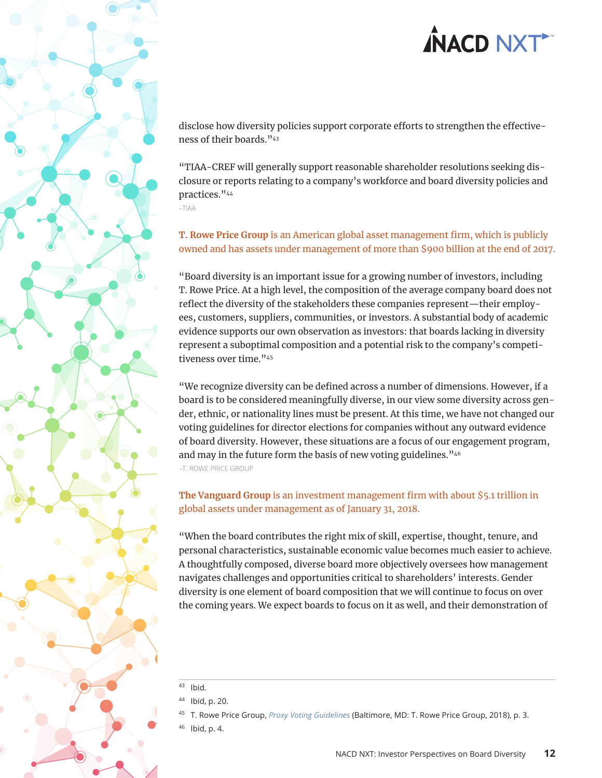<span id="page-11-0"></span>disclose how diversity policies support corporate efforts to strengthen the effectiveness of their boards."43

"TIAA-CREF will generally support reasonable shareholder resolutions seeking disclosure or reports relating to a company's workforce and board diversity policies and practices."44

–TIAA

### **T. Rowe Price Group** is an American global asset management firm, which is publicly owned and has assets under management of more than \$900 billion at the end of 2017.

"Board diversity is an important issue for a growing number of investors, including T. Rowe Price. At a high level, the composition of the average company board does not reflect the diversity of the stakeholders these companies represent—their employees, customers, suppliers, communities, or investors. A substantial body of academic evidence supports our own observation as investors: that boards lacking in diversity represent a suboptimal composition and a potential risk to the company's competitiveness over time."<sup>45</sup>

"We recognize diversity can be defined across a number of dimensions. However, if a board is to be considered meaningfully diverse, in our view some diversity across gender, ethnic, or nationality lines must be present. At this time, we have not changed our voting guidelines for director elections for companies without any outward evidence of board diversity. However, these situations are a focus of our engagement program, and may in the future form the basis of new voting guidelines."<sup>46</sup> –T. ROWE PRICE GROUP

**The Vanguard Group** is an investment management firm with about \$5.1 trillion in global assets under management as of January 31, 2018.

"When the board contributes the right mix of skill, expertise, thought, tenure, and personal characteristics, sustainable economic value becomes much easier to achieve. A thoughtfully composed, diverse board more objectively oversees how management navigates challenges and opportunities critical to shareholders' interests. Gender diversity is one element of board composition that we will continue to focus on over the coming years. We expect boards to focus on it as well, and their demonstration of

<sup>45</sup> T. Rowe Price Group, *[Proxy Voting Guidelines](https://www3.troweprice.com/usis/content/trowecorp/en/utility/policies/_jcr_content/maincontent/polices_row_1/para-mid/thiscontent/pdf_link/pdffile)* (Baltimore, MD: T. Rowe Price Group, 2018), p. 3.

<sup>43</sup> Ibid.

<sup>44</sup> Ibid, p. 20.

 $Ibid, p. 4.$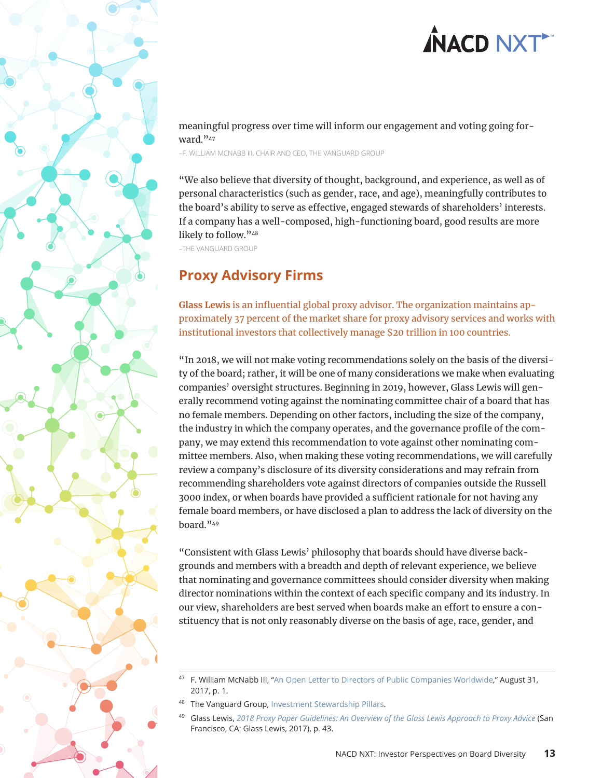<span id="page-12-0"></span>meaningful progress over time will inform our engagement and voting going forward."47

–F. WILLIAM MCNABB III, CHAIR AND CEO, THE VANGUARD GROUP

"We also believe that diversity of thought, background, and experience, as well as of personal characteristics (such as gender, race, and age), meaningfully contributes to the board's ability to serve as effective, engaged stewards of shareholders' interests. If a company has a well-composed, high-functioning board, good results are more likely to follow."<sup>48</sup>

–THE VANGUARD GROUP

### **Proxy Advisory Firms**

**Glass Lewis** is an influential global proxy advisor. The organization maintains approximately 37 percent of the market share for proxy advisory services and works with institutional investors that collectively manage \$20 trillion in 100 countries.

"In 2018, we will not make voting recommendations solely on the basis of the diversity of the board; rather, it will be one of many considerations we make when evaluating companies' oversight structures. Beginning in 2019, however, Glass Lewis will generally recommend voting against the nominating committee chair of a board that has no female members. Depending on other factors, including the size of the company, the industry in which the company operates, and the governance profile of the company, we may extend this recommendation to vote against other nominating committee members. Also, when making these voting recommendations, we will carefully review a company's disclosure of its diversity considerations and may refrain from recommending shareholders vote against directors of companies outside the Russell 3000 index, or when boards have provided a sufficient rationale for not having any female board members, or have disclosed a plan to address the lack of diversity on the board."49

"Consistent with Glass Lewis' philosophy that boards should have diverse backgrounds and members with a breadth and depth of relevant experience, we believe that nominating and governance committees should consider diversity when making director nominations within the context of each specific company and its industry. In our view, shareholders are best served when boards make an effort to ensure a constituency that is not only reasonably diverse on the basis of age, race, gender, and

- The Vanguard Group, [Investment Stewardship Pillars](https://about.vanguard.com/investment-stewardship/investment-stewardship-pillars/).
- <sup>49</sup> Glass Lewis, *[2018 Proxy Paper Guidelines: An Overview of the Glass Lewis Approach to Proxy Advice](http://www.glasslewis.com/wp-content/uploads/2017/11/US_Guidelines_2018.pdf)* (San Francisco, CA: Glass Lewis, 2017), p. 43.

<sup>47</sup> F. William McNabb III, "[An Open Letter to Directors of Public Companies Worldwide,](https://about.vanguard.com/investment-stewardship/governance-letter-to-companies.pdf)" August 31, 2017, p. 1.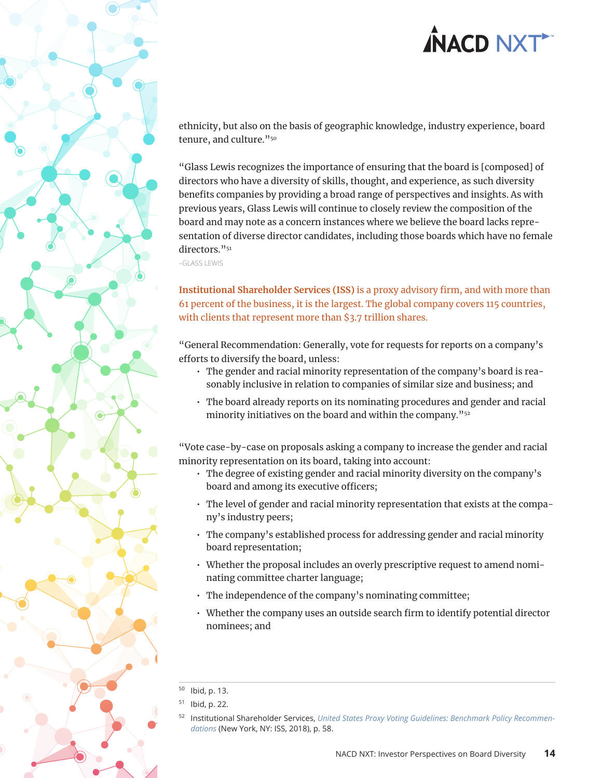<span id="page-13-0"></span>ethnicity, but also on the basis of geographic knowledge, industry experience, board tenure, and culture."50

"Glass Lewis recognizes the importance of ensuring that the board is [composed] of directors who have a diversity of skills, thought, and experience, as such diversity benefits companies by providing a broad range of perspectives and insights. As with previous years, Glass Lewis will continue to closely review the composition of the board and may note as a concern instances where we believe the board lacks representation of diverse director candidates, including those boards which have no female directors."<sup>51</sup>

–GLASS LEWIS

**Institutional Shareholder Services (ISS)** is a proxy advisory firm, and with more than 61 percent of the business, it is the largest. The global company covers 115 countries, with clients that represent more than \$3.7 trillion shares.

"General Recommendation: Generally, vote for requests for reports on a company's efforts to diversify the board, unless:

- The gender and racial minority representation of the company's board is reasonably inclusive in relation to companies of similar size and business; and
- The board already reports on its nominating procedures and gender and racial minority initiatives on the board and within the company."52

"Vote case-by-case on proposals asking a company to increase the gender and racial minority representation on its board, taking into account:

- The degree of existing gender and racial minority diversity on the company's board and among its executive officers;
- The level of gender and racial minority representation that exists at the company's industry peers;
- The company's established process for addressing gender and racial minority board representation;
- Whether the proposal includes an overly prescriptive request to amend nominating committee charter language;
- The independence of the company's nominating committee;
- Whether the company uses an outside search firm to identify potential director nominees; and

 $50$  Ibid, p. 13.

<sup>51</sup> Ibid, p. 22.

<sup>52</sup> Institutional Shareholder Services, *[United States Proxy Voting Guidelines: Benchmark Policy Recommen](https://www.issgovernance.com/file/policy/active/americas/US-Voting-Guidelines.pdf)[dations](https://www.issgovernance.com/file/policy/active/americas/US-Voting-Guidelines.pdf)* (New York, NY: ISS, 2018), p. 58.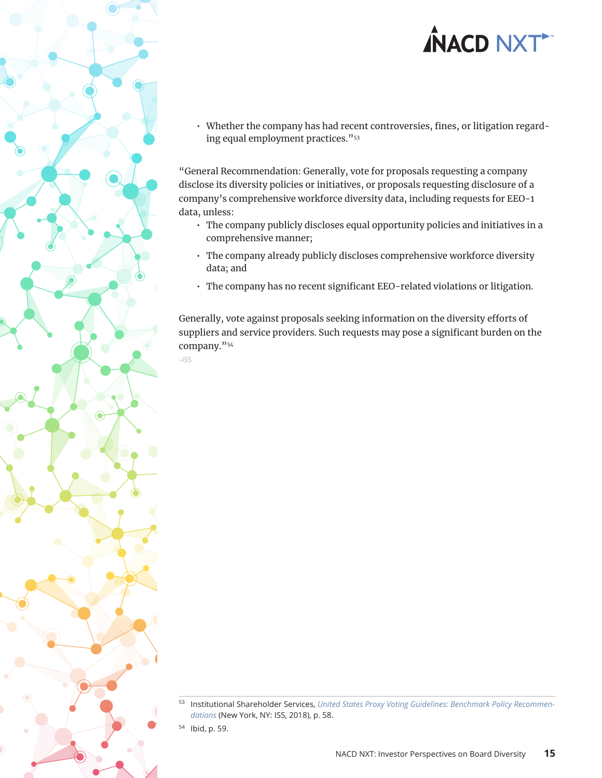• Whether the company has had recent controversies, fines, or litigation regarding equal employment practices."53

"General Recommendation: Generally, vote for proposals requesting a company disclose its diversity policies or initiatives, or proposals requesting disclosure of a company's comprehensive workforce diversity data, including requests for EEO-1 data, unless:

- The company publicly discloses equal opportunity policies and initiatives in a comprehensive manner;
- The company already publicly discloses comprehensive workforce diversity data; and
- The company has no recent significant EEO-related violations or litigation.

Generally, vote against proposals seeking information on the diversity efforts of suppliers and service providers. Such requests may pose a significant burden on the company."54

–ISS

<sup>54</sup> Ibid, p. 59.

<sup>53</sup> Institutional Shareholder Services, *[United States Proxy Voting Guidelines: Benchmark Policy Recommen](https://www.issgovernance.com/file/policy/active/americas/US-Voting-Guidelines.pdf)[dations](https://www.issgovernance.com/file/policy/active/americas/US-Voting-Guidelines.pdf)* (New York, NY: ISS, 2018), p. 58.